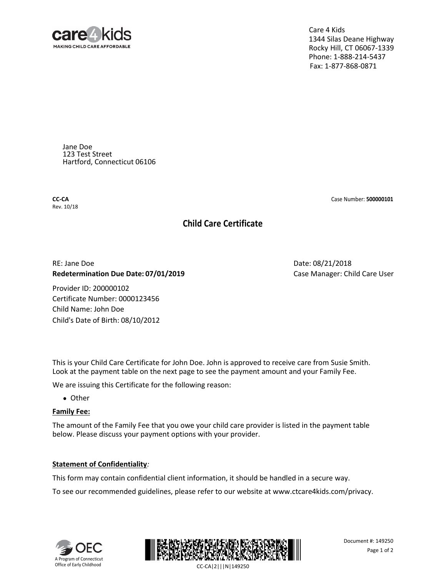

Care 4 Kids 1344 Silas Deane Highway Rocky Hill, CT 06067-1339 Phone: 1-888-214-5437 Fax: 1-877-868-0871

Jane Doe 123 Test Street Hartford, Connecticut 06106

**CC-CA** Rev. 10/18

#### Case Number: **500000101**

# **Child Care Certificate**

# RE: Jane Doe **Redetermination Due Date: 07/01/2019**

Provider ID: 200000102 Certificate Number: 0000123456 Child Name: John Doe Child's Date of Birth: 08/10/2012 Date: 08/21/2018 Case Manager: Child Care User

This is your Child Care Certificate for John Doe. John is approved to receive care from Susie Smith. Look at the payment table on the next page to see the payment amount and your Family Fee.

We are issuing this Certificate for the following reason:

● Other

## **Family Fee:**

The amount of the Family Fee that you owe your child care provider is listed in the payment table below. Please discuss your payment options with your provider.

## **Statement of Confidentiality***:*

This form may contain confidential client information, it should be handled in a secure way.

To see our recommended guidelines, please refer to our website a[t www.ctcare4kids.com/privacy.](http://www.ctcare4kids.com/privacy)